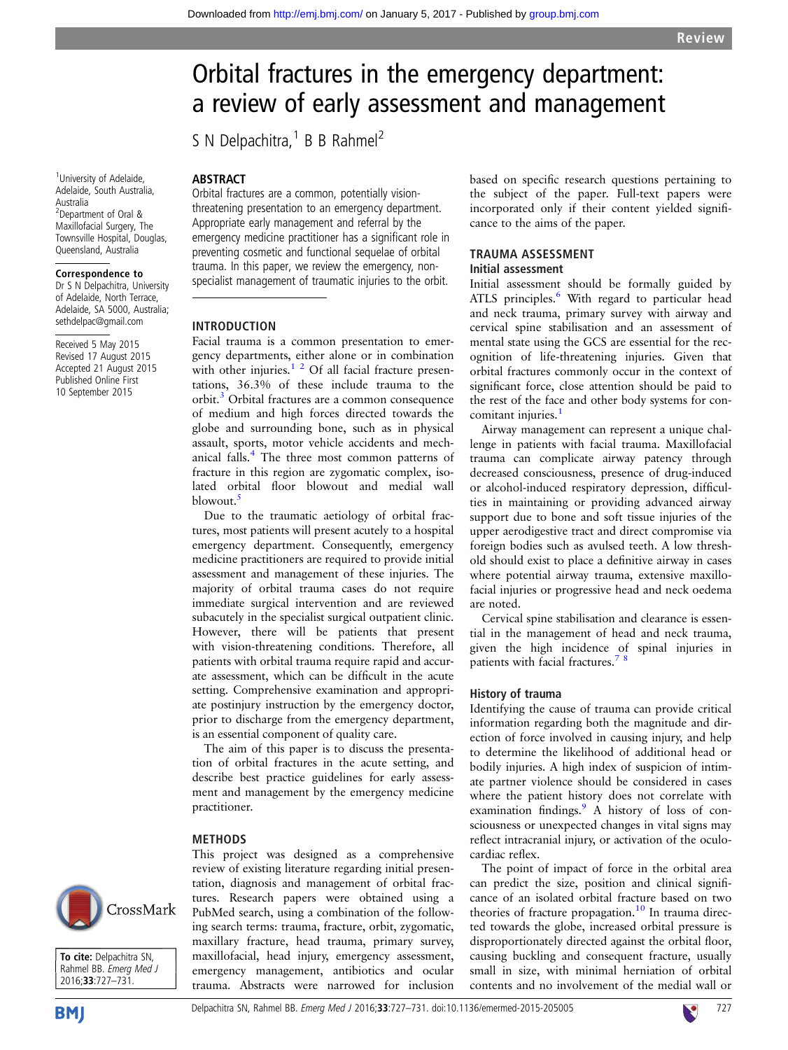# Orbital fractures in the emergency department: a review of early assessment and management

S N Delpachitra, $1$  B B Rahmel<sup>2</sup>

#### <sup>1</sup> University of Adelaide, Adelaide, South Australia, Australia 2 Department of Oral & Maxillofacial Surgery, The Townsville Hospital, Douglas, Queensland, Australia

#### Correspondence to

Dr S N Delpachitra, University of Adelaide, North Terrace, Adelaide, SA 5000, Australia; sethdelpac@gmail.com

Received 5 May 2015 Revised 17 August 2015 Accepted 21 August 2015 Published Online First 10 September 2015

# ABSTRACT

Orbital fractures are a common, potentially visionthreatening presentation to an emergency department. Appropriate early management and referral by the emergency medicine practitioner has a significant role in preventing cosmetic and functional sequelae of orbital trauma. In this paper, we review the emergency, nonspecialist management of traumatic injuries to the orbit.

# INTRODUCTION

Facial trauma is a common presentation to emergency departments, either alone or in combination with other injuries. $1^2$  Of all facial fracture presentations, 36.3% of these include trauma to the orbit.<sup>3</sup> Orbital fractures are a common consequence of medium and high forces directed towards the globe and surrounding bone, such as in physical assault, sports, motor vehicle accidents and mechanical falls.[4](#page-3-0) The three most common patterns of fracture in this region are zygomatic complex, isolated orbital floor blowout and medial wall blowout.<sup>[5](#page-3-0)</sup>

Due to the traumatic aetiology of orbital fractures, most patients will present acutely to a hospital emergency department. Consequently, emergency medicine practitioners are required to provide initial assessment and management of these injuries. The majority of orbital trauma cases do not require immediate surgical intervention and are reviewed subacutely in the specialist surgical outpatient clinic. However, there will be patients that present with vision-threatening conditions. Therefore, all patients with orbital trauma require rapid and accurate assessment, which can be difficult in the acute setting. Comprehensive examination and appropriate postinjury instruction by the emergency doctor, prior to discharge from the emergency department, is an essential component of quality care.

The aim of this paper is to discuss the presentation of orbital fractures in the acute setting, and describe best practice guidelines for early assessment and management by the emergency medicine practitioner.

#### METHODS

This project was designed as a comprehensive review of existing literature regarding initial presentation, diagnosis and management of orbital fractures. Research papers were obtained using a PubMed search, using a combination of the following search terms: trauma, fracture, orbit, zygomatic, maxillary fracture, head trauma, primary survey, maxillofacial, head injury, emergency assessment, emergency management, antibiotics and ocular trauma. Abstracts were narrowed for inclusion based on specific research questions pertaining to the subject of the paper. Full-text papers were incorporated only if their content yielded significance to the aims of the paper.

# TRAUMA ASSESSMENT Initial assessment

Initial assessment should be formally guided by ATLS principles.<sup>6</sup> With regard to particular head and neck trauma, primary survey with airway and cervical spine stabilisation and an assessment of mental state using the GCS are essential for the recognition of life-threatening injuries. Given that orbital fractures commonly occur in the context of significant force, close attention should be paid to the rest of the face and other body systems for con-comitant injuries.<sup>[1](#page-3-0)</sup>

Airway management can represent a unique challenge in patients with facial trauma. Maxillofacial trauma can complicate airway patency through decreased consciousness, presence of drug-induced or alcohol-induced respiratory depression, difficulties in maintaining or providing advanced airway support due to bone and soft tissue injuries of the upper aerodigestive tract and direct compromise via foreign bodies such as avulsed teeth. A low threshold should exist to place a definitive airway in cases where potential airway trauma, extensive maxillofacial injuries or progressive head and neck oedema are noted.

Cervical spine stabilisation and clearance is essential in the management of head and neck trauma, given the high incidence of spinal injuries in patients with facial fractures.[7 8](#page-4-0)

#### History of trauma

Identifying the cause of trauma can provide critical information regarding both the magnitude and direction of force involved in causing injury, and help to determine the likelihood of additional head or bodily injuries. A high index of suspicion of intimate partner violence should be considered in cases where the patient history does not correlate with examination findings.[9](#page-4-0) A history of loss of consciousness or unexpected changes in vital signs may reflect intracranial injury, or activation of the oculocardiac reflex.

The point of impact of force in the orbital area can predict the size, position and clinical significance of an isolated orbital fracture based on two theories of fracture propagation.<sup>10</sup> In trauma directed towards the globe, increased orbital pressure is disproportionately directed against the orbital floor, causing buckling and consequent fracture, usually small in size, with minimal herniation of orbital contents and no involvement of the medial wall or





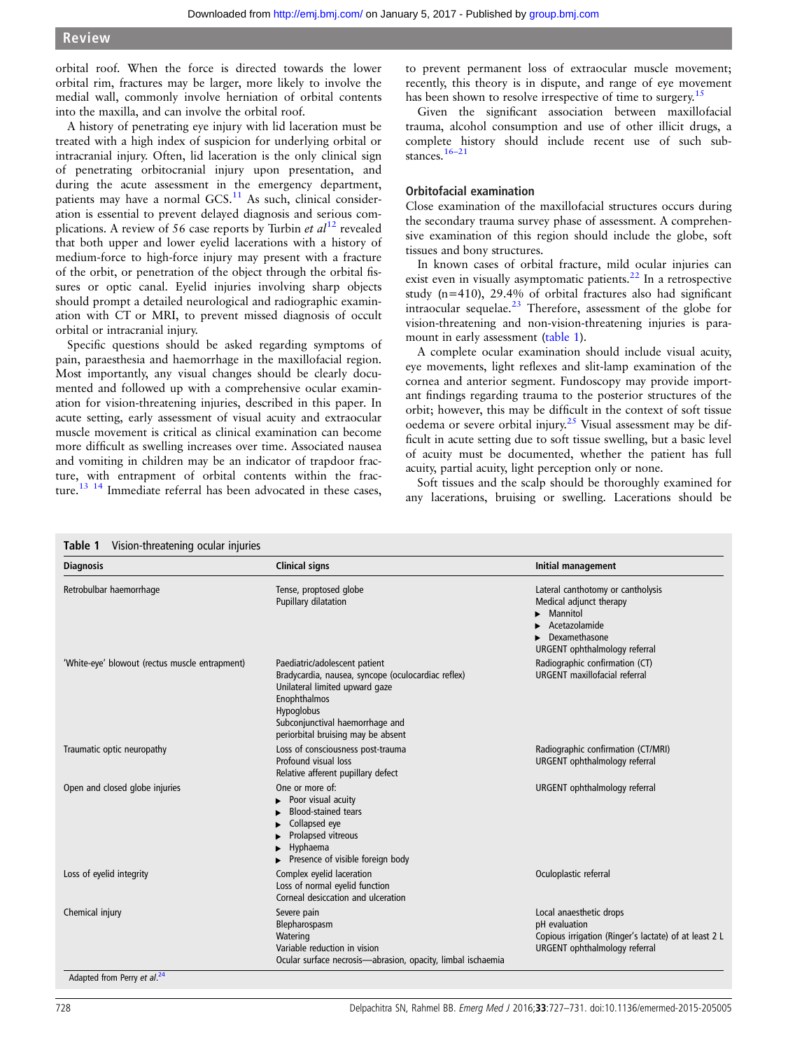orbital roof. When the force is directed towards the lower orbital rim, fractures may be larger, more likely to involve the medial wall, commonly involve herniation of orbital contents into the maxilla, and can involve the orbital roof.

A history of penetrating eye injury with lid laceration must be treated with a high index of suspicion for underlying orbital or intracranial injury. Often, lid laceration is the only clinical sign of penetrating orbitocranial injury upon presentation, and during the acute assessment in the emergency department, patients may have a normal  $GCS<sup>11</sup>$  $GCS<sup>11</sup>$  $GCS<sup>11</sup>$  As such, clinical consideration is essential to prevent delayed diagnosis and serious complications. A review of 56 case reports by Turbin *et al*<sup>[12](#page-4-0)</sup> revealed that both upper and lower eyelid lacerations with a history of medium-force to high-force injury may present with a fracture of the orbit, or penetration of the object through the orbital fissures or optic canal. Eyelid injuries involving sharp objects should prompt a detailed neurological and radiographic examination with CT or MRI, to prevent missed diagnosis of occult orbital or intracranial injury.

Specific questions should be asked regarding symptoms of pain, paraesthesia and haemorrhage in the maxillofacial region. Most importantly, any visual changes should be clearly documented and followed up with a comprehensive ocular examination for vision-threatening injuries, described in this paper. In acute setting, early assessment of visual acuity and extraocular muscle movement is critical as clinical examination can become more difficult as swelling increases over time. Associated nausea and vomiting in children may be an indicator of trapdoor fracture, with entrapment of orbital contents within the frac-ture.<sup>[13 14](#page-4-0)</sup> Immediate referral has been advocated in these cases,

to prevent permanent loss of extraocular muscle movement; recently, this theory is in dispute, and range of eye movement has been shown to resolve irrespective of time to surgery.<sup>[15](#page-4-0)</sup>

Given the significant association between maxillofacial trauma, alcohol consumption and use of other illicit drugs, a complete history should include recent use of such substances.16–[21](#page-4-0)

#### Orbitofacial examination

Close examination of the maxillofacial structures occurs during the secondary trauma survey phase of assessment. A comprehensive examination of this region should include the globe, soft tissues and bony structures.

In known cases of orbital fracture, mild ocular injuries can exist even in visually asymptomatic patients.<sup>22</sup> In a retrospective study (n=410), 29.4% of orbital fractures also had significant intraocular sequelae. $^{23}$  $^{23}$  $^{23}$  Therefore, assessment of the globe for vision-threatening and non-vision-threatening injuries is paramount in early assessment (table 1).

A complete ocular examination should include visual acuity, eye movements, light reflexes and slit-lamp examination of the cornea and anterior segment. Fundoscopy may provide important findings regarding trauma to the posterior structures of the orbit; however, this may be difficult in the context of soft tissue oedema or severe orbital injury.[25](#page-4-0) Visual assessment may be difficult in acute setting due to soft tissue swelling, but a basic level of acuity must be documented, whether the patient has full acuity, partial acuity, light perception only or none.

Soft tissues and the scalp should be thoroughly examined for any lacerations, bruising or swelling. Lacerations should be

| <b>Diagnosis</b>                               | <b>Clinical signs</b>                                                                                                                                                                                                        | Initial management                                                                                                                                                |
|------------------------------------------------|------------------------------------------------------------------------------------------------------------------------------------------------------------------------------------------------------------------------------|-------------------------------------------------------------------------------------------------------------------------------------------------------------------|
| Retrobulbar haemorrhage                        | Tense, proptosed globe<br>Pupillary dilatation                                                                                                                                                                               | Lateral canthotomy or cantholysis<br>Medical adjunct therapy<br>$\blacktriangleright$ Mannitol<br>Acetazolamide<br>Dexamethasone<br>URGENT ophthalmology referral |
| 'White-eye' blowout (rectus muscle entrapment) | Paediatric/adolescent patient<br>Bradycardia, nausea, syncope (oculocardiac reflex)<br>Unilateral limited upward gaze<br>Enophthalmos<br>Hypoglobus<br>Subconjunctival haemorrhage and<br>periorbital bruising may be absent | Radiographic confirmation (CT)<br>URGENT maxillofacial referral                                                                                                   |
| Traumatic optic neuropathy                     | Loss of consciousness post-trauma<br>Profound visual loss<br>Relative afferent pupillary defect                                                                                                                              | Radiographic confirmation (CT/MRI)<br>URGENT ophthalmology referral                                                                                               |
| Open and closed globe injuries                 | One or more of:<br>Poor visual acuity<br><b>Blood-stained tears</b><br>Collapsed eye<br>Prolapsed vitreous<br>Hyphaema<br>Presence of visible foreign body                                                                   | URGENT ophthalmology referral                                                                                                                                     |
| Loss of eyelid integrity                       | Complex eyelid laceration<br>Loss of normal eyelid function<br>Corneal desiccation and ulceration                                                                                                                            | Oculoplastic referral                                                                                                                                             |
| Chemical injury                                | Severe pain<br>Blepharospasm<br>Watering<br>Variable reduction in vision<br>Ocular surface necrosis-abrasion, opacity, limbal ischaemia                                                                                      | Local anaesthetic drops<br>pH evaluation<br>Copious irrigation (Ringer's lactate) of at least 2 L<br>URGENT ophthalmology referral                                |

Adapted from Perry et al.<sup>[24](#page-4-0)</sup>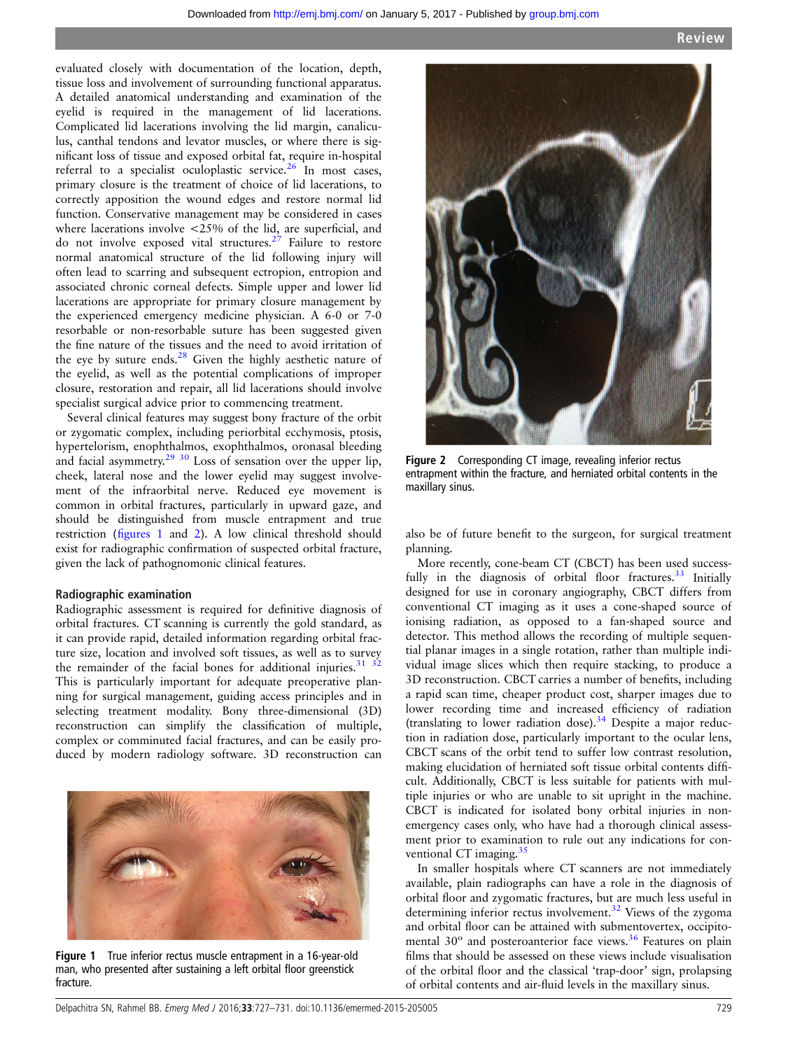evaluated closely with documentation of the location, depth, tissue loss and involvement of surrounding functional apparatus. A detailed anatomical understanding and examination of the eyelid is required in the management of lid lacerations. Complicated lid lacerations involving the lid margin, canaliculus, canthal tendons and levator muscles, or where there is significant loss of tissue and exposed orbital fat, require in-hospital referral to a specialist oculoplastic service. $26$  In most cases, primary closure is the treatment of choice of lid lacerations, to correctly apposition the wound edges and restore normal lid function. Conservative management may be considered in cases where lacerations involve <25% of the lid, are superficial, and do not involve exposed vital structures.<sup>[27](#page-4-0)</sup> Failure to restore normal anatomical structure of the lid following injury will often lead to scarring and subsequent ectropion, entropion and associated chronic corneal defects. Simple upper and lower lid lacerations are appropriate for primary closure management by the experienced emergency medicine physician. A 6-0 or 7-0 resorbable or non-resorbable suture has been suggested given the fine nature of the tissues and the need to avoid irritation of the eye by suture ends. $^{28}$  Given the highly aesthetic nature of the eyelid, as well as the potential complications of improper closure, restoration and repair, all lid lacerations should involve specialist surgical advice prior to commencing treatment.

Several clinical features may suggest bony fracture of the orbit or zygomatic complex, including periorbital ecchymosis, ptosis, hypertelorism, enophthalmos, exophthalmos, oronasal bleeding and facial asymmetry.<sup>29</sup> <sup>30</sup> Loss of sensation over the upper lip, cheek, lateral nose and the lower eyelid may suggest involvement of the infraorbital nerve. Reduced eye movement is common in orbital fractures, particularly in upward gaze, and should be distinguished from muscle entrapment and true restriction (figures 1 and 2). A low clinical threshold should exist for radiographic confirmation of suspected orbital fracture, given the lack of pathognomonic clinical features.

#### Radiographic examination

Radiographic assessment is required for definitive diagnosis of orbital fractures. CT scanning is currently the gold standard, as it can provide rapid, detailed information regarding orbital fracture size, location and involved soft tissues, as well as to survey the remainder of the facial bones for additional injuries.<sup>31</sup> <sup>32</sup> This is particularly important for adequate preoperative planning for surgical management, guiding access principles and in selecting treatment modality. Bony three-dimensional (3D) reconstruction can simplify the classification of multiple, complex or comminuted facial fractures, and can be easily produced by modern radiology software. 3D reconstruction can



Figure 1 True inferior rectus muscle entrapment in a 16-year-old man, who presented after sustaining a left orbital floor greenstick fracture.



Figure 2 Corresponding CT image, revealing inferior rectus entrapment within the fracture, and herniated orbital contents in the maxillary sinus.

also be of future benefit to the surgeon, for surgical treatment planning.

More recently, cone-beam CT (CBCT) has been used successfully in the diagnosis of orbital floor fractures. $33$  Initially designed for use in coronary angiography, CBCT differs from conventional CT imaging as it uses a cone-shaped source of ionising radiation, as opposed to a fan-shaped source and detector. This method allows the recording of multiple sequential planar images in a single rotation, rather than multiple individual image slices which then require stacking, to produce a 3D reconstruction. CBCT carries a number of benefits, including a rapid scan time, cheaper product cost, sharper images due to lower recording time and increased efficiency of radiation (translating to lower radiation dose). $34$  Despite a major reduction in radiation dose, particularly important to the ocular lens, CBCT scans of the orbit tend to suffer low contrast resolution, making elucidation of herniated soft tissue orbital contents difficult. Additionally, CBCT is less suitable for patients with multiple injuries or who are unable to sit upright in the machine. CBCT is indicated for isolated bony orbital injuries in nonemergency cases only, who have had a thorough clinical assessment prior to examination to rule out any indications for conventional CT imaging. $35$ 

In smaller hospitals where CT scanners are not immediately available, plain radiographs can have a role in the diagnosis of orbital floor and zygomatic fractures, but are much less useful in determining inferior rectus involvement.<sup>32</sup> Views of the zygoma and orbital floor can be attained with submentovertex, occipitomental  $30^{\circ}$  and posteroanterior face views.<sup>[36](#page-4-0)</sup> Features on plain films that should be assessed on these views include visualisation of the orbital floor and the classical 'trap-door' sign, prolapsing of orbital contents and air-fluid levels in the maxillary sinus.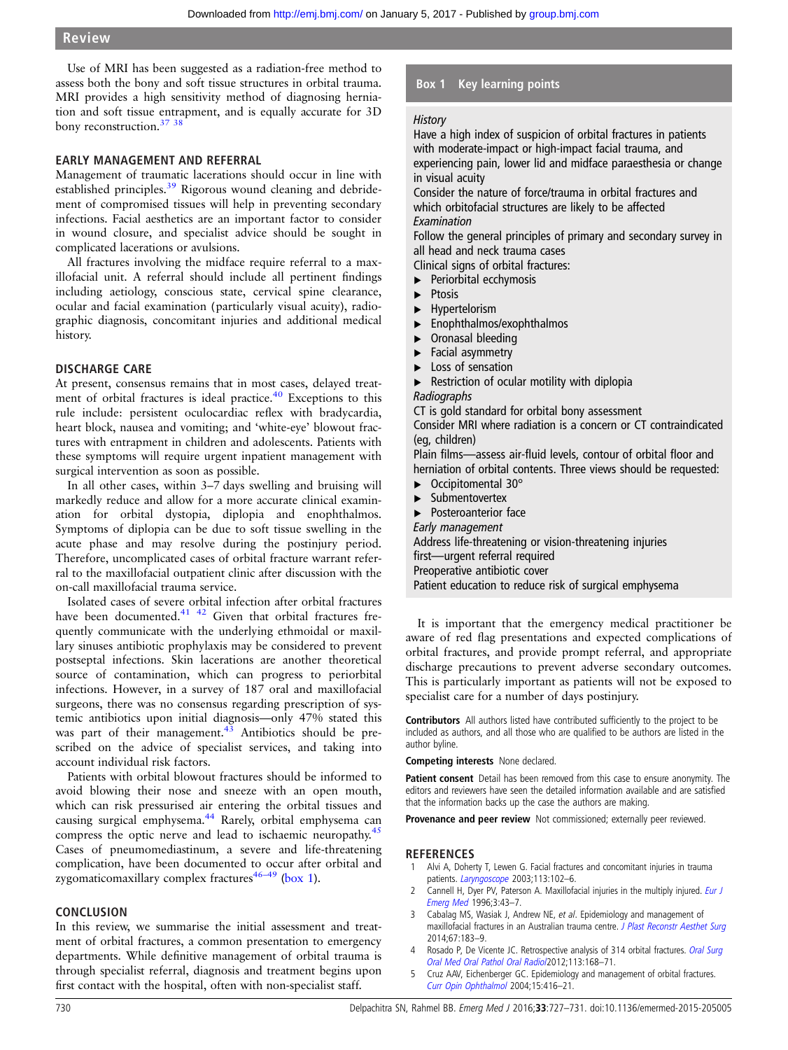# <span id="page-3-0"></span>Review

Use of MRI has been suggested as a radiation-free method to assess both the bony and soft tissue structures in orbital trauma. MRI provides a high sensitivity method of diagnosing herniation and soft tissue entrapment, and is equally accurate for 3D bony reconstruction.<sup>37</sup> <sup>38</sup>

## EARLY MANAGEMENT AND REFERRAL

Management of traumatic lacerations should occur in line with established principles.<sup>[39](#page-4-0)</sup> Rigorous wound cleaning and debridement of compromised tissues will help in preventing secondary infections. Facial aesthetics are an important factor to consider in wound closure, and specialist advice should be sought in complicated lacerations or avulsions.

All fractures involving the midface require referral to a maxillofacial unit. A referral should include all pertinent findings including aetiology, conscious state, cervical spine clearance, ocular and facial examination (particularly visual acuity), radiographic diagnosis, concomitant injuries and additional medical history.

## DISCHARGE CARE

At present, consensus remains that in most cases, delayed treatment of orbital fractures is ideal practice.<sup>40</sup> Exceptions to this rule include: persistent oculocardiac reflex with bradycardia, heart block, nausea and vomiting; and 'white-eye' blowout fractures with entrapment in children and adolescents. Patients with these symptoms will require urgent inpatient management with surgical intervention as soon as possible.

In all other cases, within 3–7 days swelling and bruising will markedly reduce and allow for a more accurate clinical examination for orbital dystopia, diplopia and enophthalmos. Symptoms of diplopia can be due to soft tissue swelling in the acute phase and may resolve during the postinjury period. Therefore, uncomplicated cases of orbital fracture warrant referral to the maxillofacial outpatient clinic after discussion with the on-call maxillofacial trauma service.

Isolated cases of severe orbital infection after orbital fractures have been documented.<sup>41 42</sup> Given that orbital fractures frequently communicate with the underlying ethmoidal or maxillary sinuses antibiotic prophylaxis may be considered to prevent postseptal infections. Skin lacerations are another theoretical source of contamination, which can progress to periorbital infections. However, in a survey of 187 oral and maxillofacial surgeons, there was no consensus regarding prescription of systemic antibiotics upon initial diagnosis—only 47% stated this was part of their management.<sup>[43](#page-4-0)</sup> Antibiotics should be prescribed on the advice of specialist services, and taking into account individual risk factors.

Patients with orbital blowout fractures should be informed to avoid blowing their nose and sneeze with an open mouth, which can risk pressurised air entering the orbital tissues and causing surgical emphysema.[44](#page-4-0) Rarely, orbital emphysema can compress the optic nerve and lead to ischaemic neuropathy.[45](#page-4-0) Cases of pneumomediastinum, a severe and life-threatening complication, have been documented to occur after orbital and zygomaticomaxillary complex fractures<sup>46-49</sup> (box 1).

# **CONCLUSION**

In this review, we summarise the initial assessment and treatment of orbital fractures, a common presentation to emergency departments. While definitive management of orbital trauma is through specialist referral, diagnosis and treatment begins upon first contact with the hospital, often with non-specialist staff.

# Box 1 Key learning points

# **History**

Have a high index of suspicion of orbital fractures in patients with moderate-impact or high-impact facial trauma, and experiencing pain, lower lid and midface paraesthesia or change in visual acuity

Consider the nature of force/trauma in orbital fractures and which orbitofacial structures are likely to be affected Examination

Follow the general principles of primary and secondary survey in all head and neck trauma cases

Clinical signs of orbital fractures:

- ▸ Periorbital ecchymosis
- ▸ Ptosis
- ▸ Hypertelorism
- ▸ Enophthalmos/exophthalmos
- ▶ Oronasal bleeding
- ▸ Facial asymmetry
- Loss of sensation
- Restriction of ocular motility with diplopia
- Radiographs

CT is gold standard for orbital bony assessment

Consider MRI where radiation is a concern or CT contraindicated (eg, children)

Plain films—assess air-fluid levels, contour of orbital floor and herniation of orbital contents. Three views should be requested:

- ▸ Occipitomental 30°
- **Submentovertex**
- Posteroanterior face
- Early management

Address life-threatening or vision-threatening injuries first—urgent referral required Preoperative antibiotic cover

Patient education to reduce risk of surgical emphysema

It is important that the emergency medical practitioner be aware of red flag presentations and expected complications of orbital fractures, and provide prompt referral, and appropriate discharge precautions to prevent adverse secondary outcomes. This is particularly important as patients will not be exposed to specialist care for a number of days postinjury.

Contributors All authors listed have contributed sufficiently to the project to be included as authors, and all those who are qualified to be authors are listed in the author byline.

Competing interests None declared.

Patient consent Detail has been removed from this case to ensure anonymity. The editors and reviewers have seen the detailed information available and are satisfied that the information backs up the case the authors are making.

Provenance and peer review Not commissioned; externally peer reviewed.

#### **REFERENCES**

- Alvi A, Doherty T, Lewen G. Facial fractures and concomitant injuries in trauma patients. [Laryngoscope](http://dx.doi.org/10.1097/00005537-200301000-00019) 2003;113:102-6.
- 2 Cannell H, Dyer PV, Paterson A. Maxillofacial injuries in the multiply injured. [Eur J](http://dx.doi.org/10.1097/00063110-199603000-00008) [Emerg Med](http://dx.doi.org/10.1097/00063110-199603000-00008) 1996;3:43–7.
- 3 Cabalag MS, Wasiak J, Andrew NE, et al. Epidemiology and management of maxillofacial fractures in an Australian trauma centre. [J Plast Reconstr Aesthet Surg](http://dx.doi.org/10.1016/j.bjps.2013.10.022) 2014;67:183–9.
- 4 Rosado P, De Vicente JC. Retrospective analysis of 314 orbital fractures. [Oral Surg](http://dx.doi.org/10.1016/j.tripleo.2011.01.035) [Oral Med Oral Pathol Oral Radiol](http://dx.doi.org/10.1016/j.tripleo.2011.01.035)2012;113:168–71.
- 5 Cruz AAV, Eichenberger GC. Epidemiology and management of orbital fractures. [Curr Opin Ophthalmol](http://dx.doi.org/10.1097/01.icu.0000136113.56288.87) 2004;15:416–21.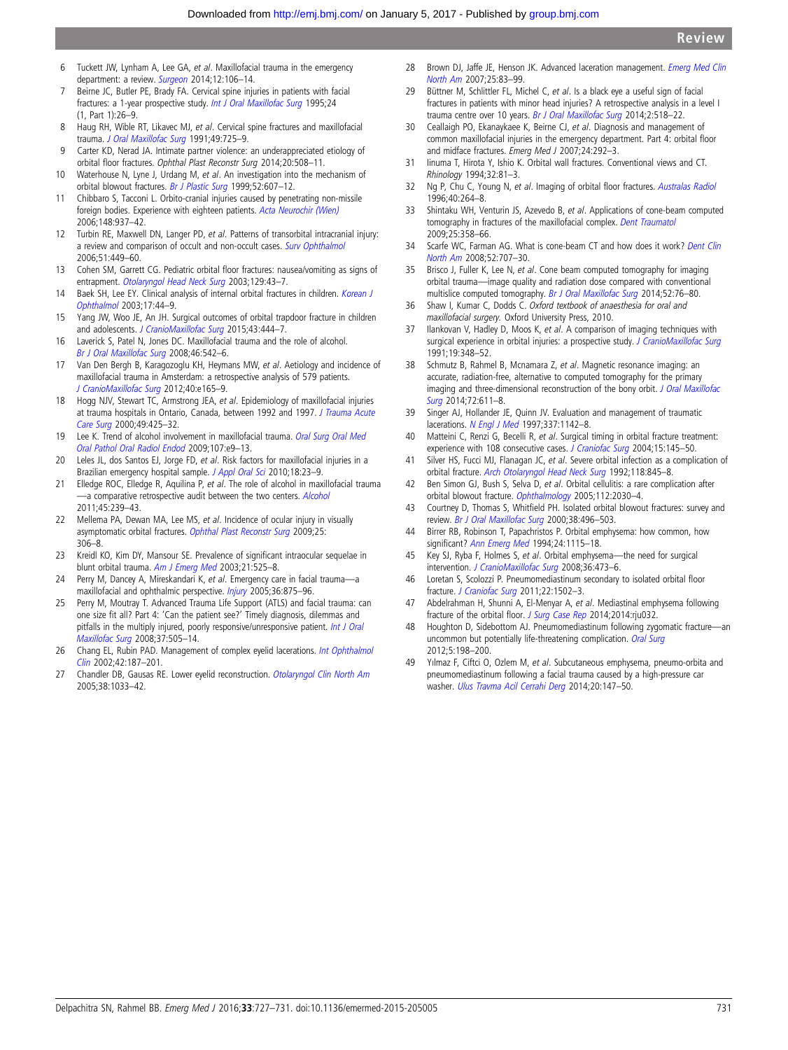- <span id="page-4-0"></span>6 Tuckett JW, Lynham A, Lee GA, et al. Maxillofacial trauma in the emergency department: a review. [Surgeon](http://dx.doi.org/10.1016/j.surge.2013.07.001) 2014;12:106-14.
- Beirne JC, Butler PE, Brady FA. Cervical spine injuries in patients with facial fractures: a 1-year prospective study. [Int J Oral Maxillofac Surg](http://dx.doi.org/10.1016/S0901-5027(05)80852-5) 1995;24 (1, Part 1):26–9.
- 8 Haug RH, Wible RT, Likavec MJ, et al. Cervical spine fractures and maxillofacial trauma. [J Oral Maxillofac Surg](http://dx.doi.org/10.1016/S0278-2391(10)80236-8) 1991;49:725-9.
- 9 Carter KD, Nerad JA. Intimate partner violence: an underappreciated etiology of orbital floor fractures. Ophthal Plast Reconstr Surg 2014;20:508–11.
- 10 Waterhouse N, Lyne J, Urdang M, et al. An investigation into the mechanism of orbital blowout fractures. [Br J Plastic Surg](http://dx.doi.org/10.1054/bjps.1999.3194) 1999;52:607-12.
- 11 Chibbaro S, Tacconi L. Orbito-cranial injuries caused by penetrating non-missile foreign bodies. Experience with eighteen patients. [Acta Neurochir \(Wien\)](http://dx.doi.org/10.1007/s00701-006-0794-5) 2006;148:937–42.
- 12 Turbin RE, Maxwell DN, Langer PD, et al. Patterns of transorbital intracranial injury: a review and comparison of occult and non-occult cases. [Surv Ophthalmol](http://dx.doi.org/10.1016/j.survophthal.2006.06.008) 2006;51:449–60.
- 13 Cohen SM, Garrett CG. Pediatric orbital floor fractures: nausea/vomiting as signs of entrapment. [Otolaryngol Head Neck Surg](http://dx.doi.org/10.1016/S0194-5998(03)00487-X) 2003;129:43-7.
- 14 Baek SH, Lee EY. Clinical analysis of internal orbital fractures in children. [Korean J](http://dx.doi.org/10.3341/kjo.2003.17.1.44) [Ophthalmol](http://dx.doi.org/10.3341/kjo.2003.17.1.44) 2003;17:44–9.
- 15 Yang JW, Woo JE, An JH. Surgical outcomes of orbital trapdoor fracture in children and adolescents. [J CranioMaxillofac Surg](http://dx.doi.org/10.1016/j.jcms.2015.01.010) 2015;43:444–7.
- 16 Laverick S, Patel N, Jones DC. Maxillofacial trauma and the role of alcohol. [Br J Oral Maxillofac Surg](http://dx.doi.org/10.1016/j.bjoms.2008.01.021) 2008;46:542–6.
- 17 Van Den Bergh B, Karagozoglu KH, Heymans MW, et al. Aetiology and incidence of maxillofacial trauma in Amsterdam: a retrospective analysis of 579 patients. [J CranioMaxillofac Surg](http://dx.doi.org/10.1016/j.jcms.2011.08.006) 2012;40:e165–9.
- 18 Hogg NJV, Stewart TC, Armstrong JEA, et al. Epidemiology of maxillofacial injuries at trauma hospitals in Ontario, Canada, between 1992 and 1997. [J Trauma Acute](http://dx.doi.org/10.1097/00005373-200009000-00007) [Care Surg](http://dx.doi.org/10.1097/00005373-200009000-00007) 2000;49:425–32.
- 19 Lee K. Trend of alcohol involvement in maxillofacial trauma. [Oral Surg Oral Med](http://dx.doi.org/10.1016/j.tripleo.2008.12.020) [Oral Pathol Oral Radiol Endod](http://dx.doi.org/10.1016/j.tripleo.2008.12.020) 2009;107:e9–13.
- 20 Leles JL, dos Santos EJ, Jorge FD, et al. Risk factors for maxillofacial injuries in a Brazilian emergency hospital sample. [J Appl Oral Sci](http://dx.doi.org/10.1590/S1678-77572010000100006) 2010;18:23-9.
- 21 Elledge ROC, Elledge R, Aquilina P, et al. The role of alcohol in maxillofacial trauma -a comparative retrospective audit between the two centers. [Alcohol](http://dx.doi.org/10.1016/j.alcohol.2010.09.001) 2011;45:239–43.
- 22 Mellema PA, Dewan MA, Lee MS, et al. Incidence of ocular injury in visually asymptomatic orbital fractures. [Ophthal Plast Reconstr Surg](http://dx.doi.org/10.1097/IOP.0b013e3181aa9a73) 2009;25: 306–8.
- 23 Kreidl KO, Kim DY, Mansour SE. Prevalence of significant intraocular sequelae in blunt orbital trauma. [Am J Emerg Med](http://dx.doi.org/10.1016/j.ajem.2003.08.009) 2003;21:525-8.
- 24 Perry M, Dancey A, Mireskandari K, et al. Emergency care in facial trauma-a maxillofacial and ophthalmic perspective. *[Injury](http://dx.doi.org/10.1016/j.injury.2004.09.018)* 2005;36:875-96.
- 25 Perry M, Moutray T. Advanced Trauma Life Support (ATLS) and facial trauma: can one size fit all? Part 4: 'Can the patient see?' Timely diagnosis, dilemmas and pitfalls in the multiply injured, poorly responsive/unresponsive patient. [Int J Oral](http://dx.doi.org/10.1016/j.ijom.2007.11.004) [Maxillofac Surg](http://dx.doi.org/10.1016/j.ijom.2007.11.004) 2008;37:505–14.
- 26 Chang EL, Rubin PAD. Management of complex eyelid lacerations. [Int Ophthalmol](http://dx.doi.org/10.1097/00004397-200207000-00020) [Clin](http://dx.doi.org/10.1097/00004397-200207000-00020) 2002;42:187–201.
- 27 Chandler DB, Gausas RE. Lower eyelid reconstruction. [Otolaryngol Clin North Am](http://dx.doi.org/10.1016/j.otc.2005.03.006) 2005;38:1033–42.
- 28 Brown DJ, Jaffe JE, Henson JK. Advanced laceration management. [Emerg Med Clin](http://dx.doi.org/10.1016/j.emc.2006.11.001) [North Am](http://dx.doi.org/10.1016/j.emc.2006.11.001) 2007;25:83–99.
- 29 Büttner M, Schlittler FL, Michel C, et al. Is a black eye a useful sign of facial fractures in patients with minor head injuries? A retrospective analysis in a level I trauma centre over 10 years. [Br J Oral Maxillofac Surg](http://dx.doi.org/10.1016/j.bjoms.2014.03.018) 2014;2:518–22.
- 30 Ceallaigh PO, Ekanaykaee K, Beirne CJ, et al. Diagnosis and management of common maxillofacial injuries in the emergency department. Part 4: orbital floor and midface fractures. Emerg Med J 2007;24:292-3.
- 31 Iinuma T, Hirota Y, Ishio K. Orbital wall fractures. Conventional views and CT. Rhinology 1994;32:81–3.
- 32 Ng P, Chu C, Young N, et al. Imaging of orbital floor fractures. [Australas Radiol](http://dx.doi.org/10.1111/j.1440-1673.1996.tb00400.x) 1996;40:264–8.
- 33 Shintaku WH, Venturin JS, Azevedo B, et al. Applications of cone-beam computed tomography in fractures of the maxillofacial complex. [Dent Traumatol](http://dx.doi.org/10.1111/j.1600-9657.2009.00795.x) 2009;25:358–66.
- 34 Scarfe WC, Farman AG. What is cone-beam CT and how does it work? [Dent Clin](http://dx.doi.org/10.1016/j.cden.2008.05.005) [North Am](http://dx.doi.org/10.1016/j.cden.2008.05.005) 2008;52:707–30.
- 35 Brisco J, Fuller K, Lee N, et al. Cone beam computed tomography for imaging orbital trauma—image quality and radiation dose compared with conventional multislice computed tomography. [Br J Oral Maxillofac Surg](http://dx.doi.org/10.1016/j.bjoms.2013.09.011) 2014;52:76–80.
- 36 Shaw I, Kumar C, Dodds C. Oxford textbook of anaesthesia for oral and maxillofacial surgery. Oxford University Press, 2010.
- 37 Ilankovan V, Hadley D, Moos K, et al. A comparison of imaging techniques with surgical experience in orbital injuries: a prospective study. [J CranioMaxillofac Surg](http://dx.doi.org/10.1016/S1010-5182(05)80277-X) 1991;19:348–52.
- 38 Schmutz B, Rahmel B, Mcnamara Z, et al. Magnetic resonance imaging: an accurate, radiation-free, alternative to computed tomography for the primary imaging and three-dimensional reconstruction of the bony orbit. [J Oral Maxillofac](http://dx.doi.org/10.1016/j.joms.2013.08.030) [Surg](http://dx.doi.org/10.1016/j.joms.2013.08.030) 2014;72:611–8.
- 39 Singer AJ, Hollander JE, Quinn JV. Evaluation and management of traumatic lacerations. [N Engl J Med](http://dx.doi.org/10.1056/NEJM199710163371607) 1997;337:1142–8.
- 40 Matteini C, Renzi G, Becelli R, et al. Surgical timing in orbital fracture treatment: experience with 108 consecutive cases. [J Craniofac Surg](http://dx.doi.org/10.1097/00001665-200401000-00035) 2004;15:145-50.
- 41 Silver HS, Fucci MJ, Flanagan JC, et al. Severe orbital infection as a complication of orbital fracture. [Arch Otolaryngol Head Neck Surg](http://dx.doi.org/10.1001/archotol.1992.01880080067015) 1992;118:845–8.
- 42 Ben Simon GJ, Bush S, Selva D, et al. Orbital cellulitis: a rare complication after orbital blowout fracture. [Ophthalmology](http://dx.doi.org/10.1016/j.ophtha.2005.06.012) 2005;112:2030-4.
- 43 Courtney D, Thomas S, Whitfield PH. Isolated orbital blowout fractures: survey and review. [Br J Oral Maxillofac Surg](http://dx.doi.org/10.1054/bjom.2000.0500) 2000;38:496-503.
- 44 Birrer RB, Robinson T, Papachristos P. Orbital emphysema: how common, how significant? [Ann Emerg Med](http://dx.doi.org/10.1016/S0196-0644(94)70241-1) 1994;24:1115-18.
- 45 Key SJ, Ryba F, Holmes S, et al. Orbital emphysema-the need for surgical intervention. [J CranioMaxillofac Surg](http://dx.doi.org/10.1016/j.jcms.2008.04.004) 2008;36:473-6.
- 46 Loretan S, Scolozzi P. Pneumomediastinum secondary to isolated orbital floor fracture. [J Craniofac Surg](http://dx.doi.org/10.1097/SCS.0b013e31821d4c25) 2011;22:1502-3.
- 47 Abdelrahman H, Shunni A, El-Menyar A, et al. Mediastinal emphysema following fracture of the orbital floor. [J Surg Case Rep](http://dx.doi.org/10.1093/jscr/rju032) 2014;2014:rju032.
- 48 Houghton D, Sidebottom AJ. Pneumomediastinum following zygomatic fracture—an uncommon but potentially life-threatening complication. [Oral Surg](http://dx.doi.org/10.1111/ors.12004) 2012;5:198–200.
- 49 Yılmaz F, Ciftci O, Ozlem M, et al. Subcutaneous emphysema, pneumo-orbita and pneumomediastinum following a facial trauma caused by a high-pressure car washer. [Ulus Travma Acil Cerrahi Derg](http://dx.doi.org/10.5505/tjtes.2014.14237) 2014;20:147–50.